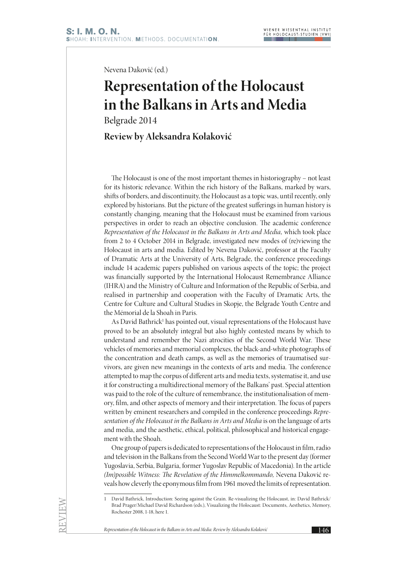Nevena Daković (ed.)

## **Representation of the Holocaust in the Balkans in Arts and Media**

Belgrade 2014

## **Review by Aleksandra Kolaković**

The Holocaust is one of the most important themes in historiography – not least for its historic relevance. Within the rich history of the Balkans, marked by wars, shifts of borders, and discontinuity, the Holocaust as a topic was, until recently, only explored by historians. But the picture of the greatest sufferings in human history is constantly changing, meaning that the Holocaust must be examined from various perspectives in order to reach an objective conclusion. The academic conference *Representation of the Holocaust in the Balkans in Arts and Media,* which took place from 2 to 4 October 2014 in Belgrade, investigated new modes of (re)viewing the Holocaust in arts and media. Edited by Nevena Daković, professor at the Faculty of Dramatic Arts at the University of Arts, Belgrade, the conference proceedings include 14 academic papers published on various aspects of the topic; the project was financially supported by the International Holocaust Remembrance Alliance (IHRA) and the Ministry of Culture and Information of the Republic of Serbia, and realised in partnership and cooperation with the Faculty of Dramatic Arts, the Centre for Culture and Cultural Studies in Skopje, the Belgrade Youth Centre and the Mémorial de la Shoah in Paris.

As David Bathrick<sup>1</sup> has pointed out, visual representations of the Holocaust have proved to be an absolutely integral but also highly contested means by which to understand and remember the Nazi atrocities of the Second World War. These vehicles of memories and memorial complexes, the black-and-white photographs of the concentration and death camps, as well as the memories of traumatised survivors, are given new meanings in the contexts of arts and media. The conference attempted to map the corpus of different arts and media texts, systematise it, and use it for constructing a multidirectional memory of the Balkans' past. Special attention was paid to the role of the culture of remembrance, the institutionalisation of memory, film, and other aspects of memory and their interpretation. The focus of papers written by eminent researchers and compiled in the conference proceedings *Representation of the Holocaust in the Balkans in Arts and Media* is on the language of arts and media, and the aesthetic, ethical, political, philosophical and historical engagement with the Shoah.

One group of papers is dedicated to representations of the Holocaust in film, radio and television in the Balkans from the Second World War to the present day (former Yugoslavia, Serbia, Bulgaria, former Yugoslav Republic of Macedonia). In the article *(Im)possible Witness: The Revelation of the Himmelkommando,* Nevena Daković reveals how cleverly the eponymous film from 1961 moved the limits of representation.

*Representation of the Holocaust in the Balkans in Arts and Media: Review by Aleksandra Kolaković* 146

<sup>1</sup> David Bathrick, Introduction: Seeing against the Grain. Re-visualizing the Holocaust, in: David Bathrick/ Brad Prager/Michael David Richardson (eds.), Visualizing the Holocaust: Documents, Aesthetics, Memory, Rochester 2008, 1-18, here 1.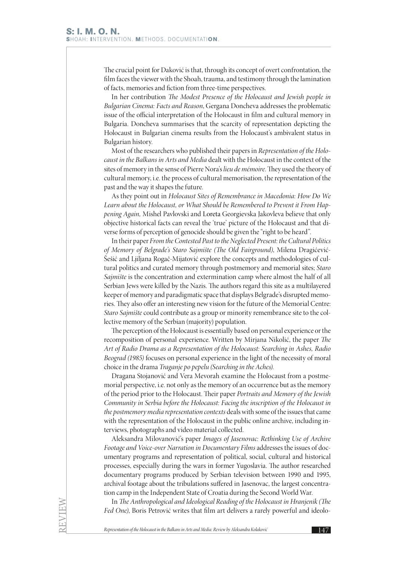The crucial point for Daković is that, through its concept of overt confrontation, the film faces the viewer with the Shoah, trauma, and testimony through the lamination of facts, memories and fiction from three-time perspectives.

In her contribution *The Modest Presence of the Holocaust and Jewish people in Bulgarian Cinema: Facts and Reason*, Gergana Doncheva addresses the problematic issue of the official interpretation of the Holocaust in film and cultural memory in Bulgaria. Doncheva summarises that the scarcity of representation depicting the Holocaust in Bulgarian cinema results from the Holocaust's ambivalent status in Bulgarian history.

Most of the researchers who published their papers in *Representation of the Holocaust in the Balkans in Arts and Media* dealt with the Holocaust in the context of the sites of memory in the sense of Pierre Nora's *lieu de mémoire*. They used the theory of cultural memory, i.e. the process of cultural memorisation, the representation of the past and the way it shapes the future.

As they point out in *Holocaust Sites of Remembrance in Macedonia: How Do We Learn about the Holocaust, or What Should be Remembered to Prevent it From Happening Again,* Mishel Pavlovski and Loreta Georgievska Jakovleva believe that only objective historical facts can reveal the 'true' picture of the Holocaust and that diverse forms of perception of genocide should be given the "right to be heard".

In their paper *From the Contested Past to the Neglected Present: the Cultural Politics of Memory of Belgrade's Staro Sajmište (The Old Fairground)*, Milena Dragićević-Šešić and Ljiljana Rogač-Mijatović explore the concepts and methodologies of cultural politics and curated memory through postmemory and memorial sites; *Staro Sajmište* is the concentration and extermination camp where almost the half of all Serbian Jews were killed by the Nazis. The authors regard this site as a multilayered keeper of memory and paradigmatic space that displays Belgrade's disrupted memories. They also offer an interesting new vision for the future of the Memorial Centre: *Staro Sajmište* could contribute as a group or minority remembrance site to the collective memory of the Serbian (majority) population.

The perception of the Holocaust is essentially based on personal experience or the recomposition of personal experience. Written by Mirjana Nikolić, the paper *The Art of Radio Drama as a Representation of the Holocaust: Searching in Ashes, Radio Beograd (1985)* focuses on personal experience in the light of the necessity of moral choice in the drama *Traganje po pepelu (Searching in the Aches).*

Dragana Stojanović and Vera Mevorah examine the Holocaust from a postmemorial perspective, i.e. not only as the memory of an occurrence but as the memory of the period prior to the Holocaust. Their paper *Portraits and Memory of the Jewish Community in Serbia before the Holocaust: Facing the inscription of the Holocaust in the postmemory media representation contexts* deals with some of the issues that came with the representation of the Holocaust in the public online archive, including interviews, photographs and video material collected.

Aleksandra Milovanović's paper *Images of Jasenovac: Rethinking Use of Archive Footage and Voice-over Narration in Documentary Films* addresses the issues of documentary programs and representation of political, social, cultural and historical processes, especially during the wars in former Yugoslavia. The author researched documentary programs produced by Serbian television between 1990 and 1995, archival footage about the tribulations suffered in Jasenovac, the largest concentration camp in the Independent State of Croatia during the Second World War.

In *The Anthropological and Ideological Reading of the Holocaust in Hranjenik (The Fed One)*, Boris Petrović writes that film art delivers a rarely powerful and ideolo-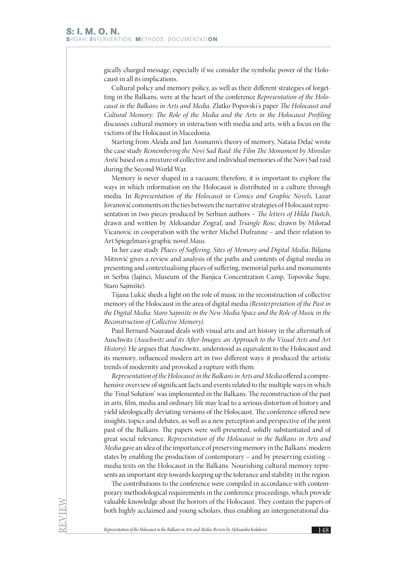gically charged message, especially if we consider the symbolic power of the Holocaust in all its implications.

Cultural policy and memory policy, as well as their different strategies of forgetting in the Balkans, were at the heart of the conference *Representation of the Holocaust in the Balkans in Arts and Media*. Zlatko Popovski's paper *The Holocaust and Cultural Memory: The Role of the Media and the Arts in the Holocaust Profiling* discusses cultural memory in interaction with media and arts, with a focus on the victims of the Holocaust in Macedonia.

Starting from Aleida and Jan Assmann's theory of memory, Nataša Delač wrote the case study *Remembering the Novi Sad Raid: the Film The Monument by Miroslav Antić* based on a mixture of collective and individual memories of the Novi Sad raid during the Second World War.

Memory is never shaped in a vacuum; therefore, it is important to explore the ways in which information on the Holocaust is distributed in a culture through media. In *Representation of the Holocaust in Comics and Graphic Novels*, Lazar Jovanović comments on the ties between the narrative strategies of Holocaust representation in two pieces produced by Serbian authors – *The letters of Hilda Daitch*, drawn and written by Aleksandar Zograf, and *Triangle Rose*, drawn by Milorad Vicanović in cooperation with the writer Michel Dufranne – and their relation to Art Spiegelman's graphic novel *Maus.*

In her case study *Places of Suffering, Sites of Memory and Digital Media*, Biljana Mitrović gives a review and analysis of the paths and contents of digital media in presenting and contextualising places of suffering, memorial parks and monuments in Serbia (Jajinci, Museum of the Banjica Concentration Camp, Topovske Šupe, Staro Sajmište).

Tijana Lukić sheds a light on the role of music in the reconstruction of collective memory of the Holocaust in the area of digital media *(Reinterpretation of the Past in the Digital Media: Staro Sajmište in the New Media Space and the Role of Music in the Reconstruction of Collective Memory)*.

Paul Bernard-Nauraud deals with visual arts and art history in the aftermath of Auschwitz *(Auschwitz and its After-Images: an Approach to the Visual Arts and Art History)*. He argues that Auschwitz, understood as equivalent to the Holocaust and its memory, influenced modern art in two different ways: it produced the artistic trends of modernity and provoked a rupture with them.

*Representation of the Holocaust in the Balkans in Arts and Media* offered a comprehensive overview of significant facts and events related to the multiple ways in which the 'Final Solution' was implemented in the Balkans. The reconstruction of the past in arts, film, media and ordinary life may lead to a serious distortion of history and yield ideologically deviating versions of the Holocaust. The conference offered new insights, topics and debates, as well as a new perception and perspective of the joint past of the Balkans. The papers were well-presented, solidly substantiated and of great social relevance. *Representation of the Holocaust in the Balkans in Arts and Media* gave an idea of the importance of preserving memory in the Balkans' modern states by enabling the production of contemporary – and by preserving existing – media texts on the Holocaust in the Balkans. Nourishing cultural memory represents an important step towards keeping up the tolerance and stability in the region.

The contributions to the conference were compiled in accordance with contemporary methodological requirements in the conference proceedings, which provide valuable knowledge about the horrors of the Holocaust. They contain the papers of both highly acclaimed and young scholars, thus enabling an intergenerational dia-

*Representation of the Holocaust in the Balkans in Arts and Media: Review by Aleksandra Kolaković* 148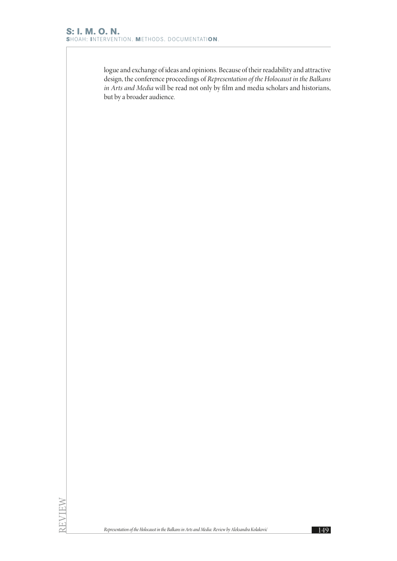logue and exchange of ideas and opinions. Because of their readability and attractive design, the conference proceedings of *Representation of the Holocaust in the Balkans in Arts and Media* will be read not only by film and media scholars and historians, but by a broader audience.